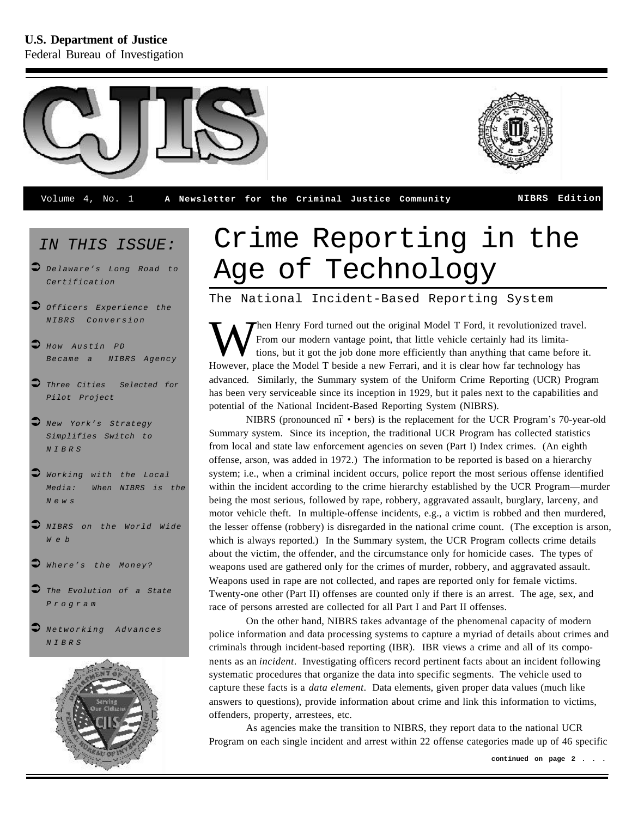

#### *IN THIS ISSUE:*

- ‹ *Delaware's Long Road to*
- $\bullet$  *Officers* Experience the *NIBRS Conversion*
- ‹ *How Austin PD Became a NIBRS Agency*
- Three Cities Selected for *Pilot Project*
- ‹ *New York's Strategy Simplifies Switch to NIBRS*
- ‹ *Working with the Local Media: When NIBRS is the News*
- ‹ *NIBRS on the World Wide Web*
- $\bullet$  Where's the Money?
- The *Evolution* of a State *Program*
- ‹ *Networking Advances NIBRS*



# Crime Reporting in the *Delaware's Long Road to* Age of Technology

The National Incident-Based Reporting System

W Then Henry Ford turned out the original Model T Ford, it revolutionized trave<br>From our modern vantage point, that little vehicle certainly had its limita-<br>However, place the Model T beside a new Ferrari, and it is clear Then Henry Ford turned out the original Model T Ford, it revolutionized travel. From our modern vantage point, that little vehicle certainly had its limitations, but it got the job done more efficiently than anything that came before it. advanced. Similarly, the Summary system of the Uniform Crime Reporting (UCR) Program has been very serviceable since its inception in 1929, but it pales next to the capabilities and potential of the National Incident-Based Reporting System (NIBRS).

NIBRS (pronounced  $n\bar{i}$  • bers) is the replacement for the UCR Program's 70-year-old Summary system. Since its inception, the traditional UCR Program has collected statistics from local and state law enforcement agencies on seven (Part I) Index crimes. (An eighth offense, arson, was added in 1972.) The information to be reported is based on a hierarchy system; i.e., when a criminal incident occurs, police report the most serious offense identified within the incident according to the crime hierarchy established by the UCR Program—murder being the most serious, followed by rape, robbery, aggravated assault, burglary, larceny, and motor vehicle theft. In multiple-offense incidents, e.g., a victim is robbed and then murdered, the lesser offense (robbery) is disregarded in the national crime count. (The exception is arson, which is always reported.) In the Summary system, the UCR Program collects crime details about the victim, the offender, and the circumstance only for homicide cases. The types of weapons used are gathered only for the crimes of murder, robbery, and aggravated assault. Weapons used in rape are not collected, and rapes are reported only for female victims. Twenty-one other (Part II) offenses are counted only if there is an arrest. The age, sex, and race of persons arrested are collected for all Part I and Part II offenses.

On the other hand, NIBRS takes advantage of the phenomenal capacity of modern police information and data processing systems to capture a myriad of details about crimes and criminals through incident-based reporting (IBR). IBR views a crime and all of its components as an *incident*. Investigating officers record pertinent facts about an incident following systematic procedures that organize the data into specific segments. The vehicle used to capture these facts is a *data element*. Data elements, given proper data values (much like answers to questions), provide information about crime and link this information to victims, offenders, property, arrestees, etc.

As agencies make the transition to NIBRS, they report data to the national UCR Program on each single incident and arrest within 22 offense categories made up of 46 specific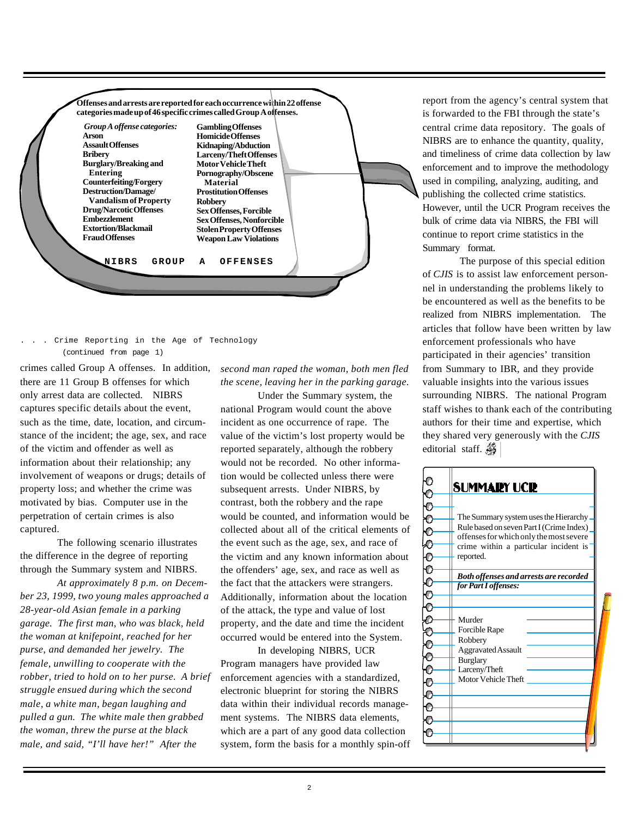

. Crime Reporting in the Age of Technology (continued from page 1)

crimes called Group A offenses. In addition, there are 11 Group B offenses for which only arrest data are collected. NIBRS captures specific details about the event, such as the time, date, location, and circumstance of the incident; the age, sex, and race of the victim and offender as well as information about their relationship; any involvement of weapons or drugs; details of property loss; and whether the crime was motivated by bias. Computer use in the perpetration of certain crimes is also captured.

The following scenario illustrates the difference in the degree of reporting through the Summary system and NIBRS.

*At approximately 8 p.m. on December 23, 1999, two young males approached a 28-year-old Asian female in a parking garage. The first man, who was black, held the woman at knifepoint, reached for her purse, and demanded her jewelry. The female, unwilling to cooperate with the robber, tried to hold on to her purse. A brief struggle ensued during which the second male, a white man, began laughing and pulled a gun. The white male then grabbed the woman, threw the purse at the black male, and said, "I'll have her!" After the*

*second man raped the woman, both men fled the scene, leaving her in the parking garage.*

Under the Summary system, the national Program would count the above incident as one occurrence of rape. The value of the victim's lost property would be reported separately, although the robbery would not be recorded. No other information would be collected unless there were subsequent arrests. Under NIBRS, by contrast, both the robbery and the rape would be counted, and information would be collected about all of the critical elements of the event such as the age, sex, and race of the victim and any known information about the offenders' age, sex, and race as well as the fact that the attackers were strangers. Additionally, information about the location of the attack, the type and value of lost property, and the date and time the incident occurred would be entered into the System.

In developing NIBRS, UCR Program managers have provided law enforcement agencies with a standardized, electronic blueprint for storing the NIBRS data within their individual records management systems. The NIBRS data elements, which are a part of any good data collection system, form the basis for a monthly spin-off

report from the agency's central system that is forwarded to the FBI through the state's central crime data repository. The goals of NIBRS are to enhance the quantity, quality, and timeliness of crime data collection by law enforcement and to improve the methodology used in compiling, analyzing, auditing, and publishing the collected crime statistics. However, until the UCR Program receives the bulk of crime data via NIBRS, the FBI will continue to report crime statistics in the Summary format.

The purpose of this special edition of *CJIS* is to assist law enforcement personnel in understanding the problems likely to be encountered as well as the benefits to be realized from NIBRS implementation. The articles that follow have been written by law enforcement professionals who have participated in their agencies' transition from Summary to IBR, and they provide valuable insights into the various issues surrounding NIBRS. The national Program staff wishes to thank each of the contributing authors for their time and expertise, which they shared very generously with the *CJIS* editorial staff.

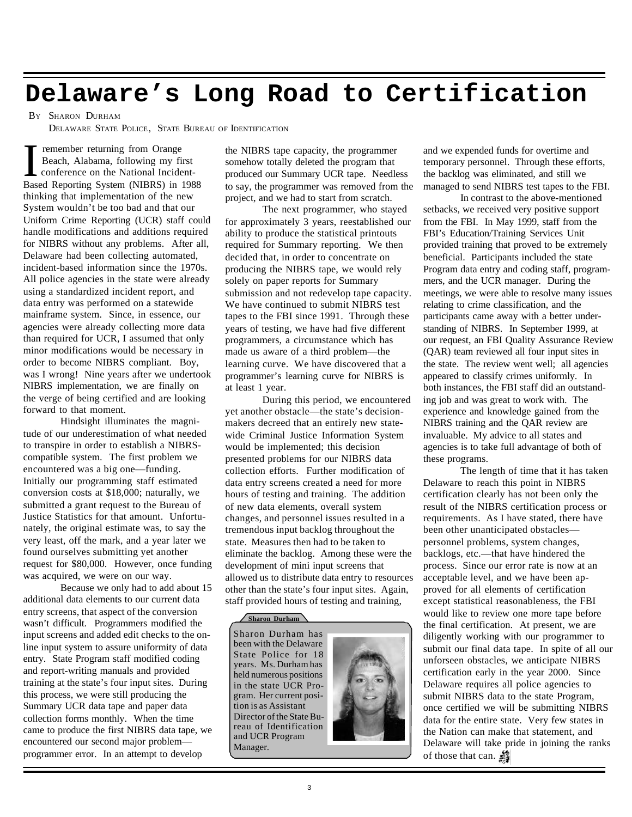## **Delaware's Long Road to Certification**

#### B<sup>Y</sup> SHARON DURHAM

DELAWARE STATE POLICE, STATE BUREAU OF IDENTIFICATION

**T** remember returning from Orange<br>Beach, Alabama, following my first<br>conference on the National Incident-<br>Based Reporting System (NIBRS) in 1988 remember returning from Orange Beach, Alabama, following my first conference on the National Incidentthinking that implementation of the new System wouldn't be too bad and that our Uniform Crime Reporting (UCR) staff could handle modifications and additions required for NIBRS without any problems. After all, Delaware had been collecting automated, incident-based information since the 1970s. All police agencies in the state were already using a standardized incident report, and data entry was performed on a statewide mainframe system. Since, in essence, our agencies were already collecting more data than required for UCR, I assumed that only minor modifications would be necessary in order to become NIBRS compliant. Boy, was I wrong! Nine years after we undertook NIBRS implementation, we are finally on the verge of being certified and are looking forward to that moment.

Hindsight illuminates the magnitude of our underestimation of what needed to transpire in order to establish a NIBRScompatible system. The first problem we encountered was a big one—funding. Initially our programming staff estimated conversion costs at \$18,000; naturally, we submitted a grant request to the Bureau of Justice Statistics for that amount. Unfortunately, the original estimate was, to say the very least, off the mark, and a year later we found ourselves submitting yet another request for \$80,000. However, once funding was acquired, we were on our way.

Because we only had to add about 15 additional data elements to our current data entry screens, that aspect of the conversion wasn't difficult. Programmers modified the input screens and added edit checks to the online input system to assure uniformity of data entry. State Program staff modified coding and report-writing manuals and provided training at the state's four input sites. During this process, we were still producing the Summary UCR data tape and paper data collection forms monthly. When the time came to produce the first NIBRS data tape, we encountered our second major problem programmer error. In an attempt to develop

the NIBRS tape capacity, the programmer somehow totally deleted the program that produced our Summary UCR tape. Needless to say, the programmer was removed from the project, and we had to start from scratch.

The next programmer, who stayed for approximately 3 years, reestablished our ability to produce the statistical printouts required for Summary reporting. We then decided that, in order to concentrate on producing the NIBRS tape, we would rely solely on paper reports for Summary submission and not redevelop tape capacity. We have continued to submit NIBRS test tapes to the FBI since 1991. Through these years of testing, we have had five different programmers, a circumstance which has made us aware of a third problem—the learning curve. We have discovered that a programmer's learning curve for NIBRS is at least 1 year.

During this period, we encountered yet another obstacle—the state's decisionmakers decreed that an entirely new statewide Criminal Justice Information System would be implemented; this decision presented problems for our NIBRS data collection efforts. Further modification of data entry screens created a need for more hours of testing and training. The addition of new data elements, overall system changes, and personnel issues resulted in a tremendous input backlog throughout the state. Measures then had to be taken to eliminate the backlog. Among these were the development of mini input screens that allowed us to distribute data entry to resources other than the state's four input sites. Again, staff provided hours of testing and training,

#### **Sharon Durham**

Sharon Durham has been with the Delaware State Police for 18 years. Ms. Durham has held numerous positions in the state UCR Program. Her current position is as Assistant Director of the State Bureau of Identification and UCR Program Manager.



and we expended funds for overtime and temporary personnel. Through these efforts, the backlog was eliminated, and still we managed to send NIBRS test tapes to the FBI.

In contrast to the above-mentioned setbacks, we received very positive support from the FBI. In May 1999, staff from the FBI's Education/Training Services Unit provided training that proved to be extremely beneficial. Participants included the state Program data entry and coding staff, programmers, and the UCR manager. During the meetings, we were able to resolve many issues relating to crime classification, and the participants came away with a better understanding of NIBRS. In September 1999, at our request, an FBI Quality Assurance Review (QAR) team reviewed all four input sites in the state. The review went well; all agencies appeared to classify crimes uniformly. In both instances, the FBI staff did an outstanding job and was great to work with. The experience and knowledge gained from the NIBRS training and the QAR review are invaluable. My advice to all states and agencies is to take full advantage of both of these programs.

The length of time that it has taken Delaware to reach this point in NIBRS certification clearly has not been only the result of the NIBRS certification process or requirements. As I have stated, there have been other unanticipated obstacles personnel problems, system changes, backlogs, etc.—that have hindered the process. Since our error rate is now at an acceptable level, and we have been approved for all elements of certification except statistical reasonableness, the FBI would like to review one more tape before the final certification. At present, we are diligently working with our programmer to submit our final data tape. In spite of all our unforseen obstacles, we anticipate NIBRS certification early in the year 2000. Since Delaware requires all police agencies to submit NIBRS data to the state Program, once certified we will be submitting NIBRS data for the entire state. Very few states in the Nation can make that statement, and Delaware will take pride in joining the ranks of those that can. **翁**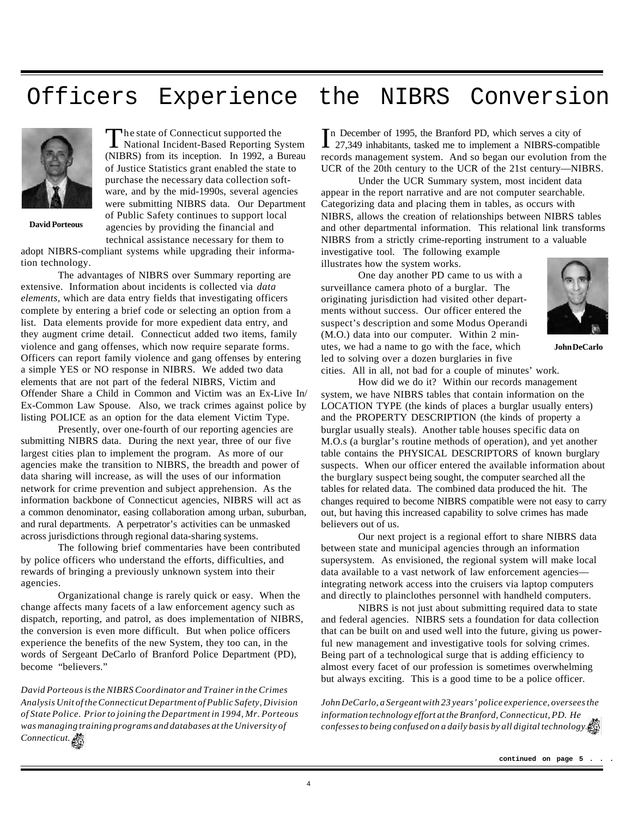### Officers Experience the NIBRS Conversion



**David Porteous**

The state of Connecticut supported the<br>
National Incident-Based Reporting System he state of Connecticut supported the (NIBRS) from its inception. In 1992, a Bureau of Justice Statistics grant enabled the state to purchase the necessary data collection software, and by the mid-1990s, several agencies were submitting NIBRS data. Our Department of Public Safety continues to support local agencies by providing the financial and technical assistance necessary for them to

adopt NIBRS-compliant systems while upgrading their information technology.

The advantages of NIBRS over Summary reporting are extensive. Information about incidents is collected via *data elements,* which are data entry fields that investigating officers complete by entering a brief code or selecting an option from a list. Data elements provide for more expedient data entry, and they augment crime detail. Connecticut added two items, family violence and gang offenses, which now require separate forms. Officers can report family violence and gang offenses by entering a simple YES or NO response in NIBRS. We added two data elements that are not part of the federal NIBRS, Victim and Offender Share a Child in Common and Victim was an Ex-Live In/ Ex-Common Law Spouse. Also, we track crimes against police by listing POLICE as an option for the data element Victim Type.

Presently, over one-fourth of our reporting agencies are submitting NIBRS data. During the next year, three of our five largest cities plan to implement the program. As more of our agencies make the transition to NIBRS, the breadth and power of data sharing will increase, as will the uses of our information network for crime prevention and subject apprehension. As the information backbone of Connecticut agencies, NIBRS will act as a common denominator, easing collaboration among urban, suburban, and rural departments. A perpetrator's activities can be unmasked across jurisdictions through regional data-sharing systems.

The following brief commentaries have been contributed by police officers who understand the efforts, difficulties, and rewards of bringing a previously unknown system into their agencies.

Organizational change is rarely quick or easy. When the change affects many facets of a law enforcement agency such as dispatch, reporting, and patrol, as does implementation of NIBRS, the conversion is even more difficult. But when police officers experience the benefits of the new System, they too can, in the words of Sergeant DeCarlo of Branford Police Department (PD), become "believers."

*David Porteous is the NIBRS Coordinator and Trainer in the Crimes Analysis Unit of the Connecticut Department of Public Safety, Division of State Police. Prior to joining the Department in 1994, Mr. Porteous was managing training programs and databases at the University of Connecticut.*

In December of 1995, the Branford PD, which serves a city of 27,349 inhabitants, tasked me to implement a NIBRS-compatible n December of 1995, the Branford PD, which serves a city of records management system. And so began our evolution from the UCR of the 20th century to the UCR of the 21st century—NIBRS.

Under the UCR Summary system, most incident data appear in the report narrative and are not computer searchable. Categorizing data and placing them in tables, as occurs with NIBRS, allows the creation of relationships between NIBRS tables and other departmental information. This relational link transforms NIBRS from a strictly crime-reporting instrument to a valuable investigative tool. The following example

illustrates how the system works.

One day another PD came to us with a surveillance camera photo of a burglar. The originating jurisdiction had visited other departments without success. Our officer entered the suspect's description and some Modus Operandi (M.O.) data into our computer. Within 2 minutes, we had a name to go with the face, which led to solving over a dozen burglaries in five cities. All in all, not bad for a couple of minutes' work.



**John DeCarlo**

How did we do it? Within our records management system, we have NIBRS tables that contain information on the LOCATION TYPE (the kinds of places a burglar usually enters) and the PROPERTY DESCRIPTION (the kinds of property a burglar usually steals). Another table houses specific data on M.O.s (a burglar's routine methods of operation), and yet another table contains the PHYSICAL DESCRIPTORS of known burglary suspects. When our officer entered the available information about the burglary suspect being sought, the computer searched all the tables for related data. The combined data produced the hit. The changes required to become NIBRS compatible were not easy to carry out, but having this increased capability to solve crimes has made believers out of us.

Our next project is a regional effort to share NIBRS data between state and municipal agencies through an information supersystem. As envisioned, the regional system will make local data available to a vast network of law enforcement agencies integrating network access into the cruisers via laptop computers and directly to plainclothes personnel with handheld computers.

NIBRS is not just about submitting required data to state and federal agencies. NIBRS sets a foundation for data collection that can be built on and used well into the future, giving us powerful new management and investigative tools for solving crimes. Being part of a technological surge that is adding efficiency to almost every facet of our profession is sometimes overwhelming but always exciting. This is a good time to be a police officer.

*John DeCarlo, a Sergeant with 23 years' police experience, oversees the information technology effort at the Branford, Connecticut, PD. He confesses to being confused on a daily basis by all digital technology.*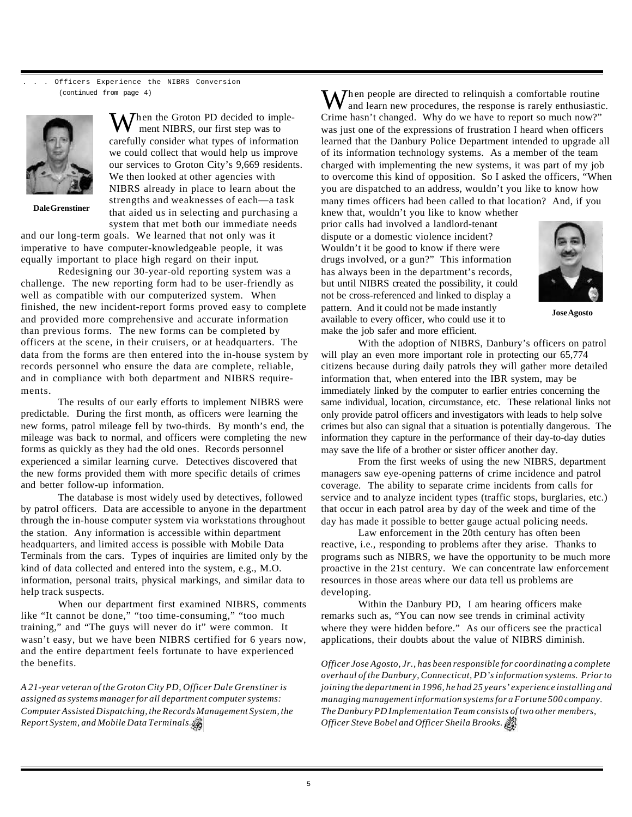Officers Experience the NIBRS Conversion (continued from page 4)



Then the Groton PD decided to imple ment NIBRS, our first step was to carefully consider what types of information we could collect that would help us improve our services to Groton City's 9,669 residents. We then looked at other agencies with NIBRS already in place to learn about the strengths and weaknesses of each—a task that aided us in selecting and purchasing a system that met both our immediate needs

**Dale Grenstiner**

and our long-term goals. We learned that not only was it imperative to have computer-knowledgeable people, it was equally important to place high regard on their input.

Redesigning our 30-year-old reporting system was a challenge. The new reporting form had to be user-friendly as well as compatible with our computerized system. When finished, the new incident-report forms proved easy to complete and provided more comprehensive and accurate information than previous forms. The new forms can be completed by officers at the scene, in their cruisers, or at headquarters. The data from the forms are then entered into the in-house system by records personnel who ensure the data are complete, reliable, and in compliance with both department and NIBRS requirements.

The results of our early efforts to implement NIBRS were predictable. During the first month, as officers were learning the new forms, patrol mileage fell by two-thirds. By month's end, the mileage was back to normal, and officers were completing the new forms as quickly as they had the old ones. Records personnel experienced a similar learning curve. Detectives discovered that the new forms provided them with more specific details of crimes and better follow-up information.

The database is most widely used by detectives, followed by patrol officers. Data are accessible to anyone in the department through the in-house computer system via workstations throughout the station. Any information is accessible within department headquarters, and limited access is possible with Mobile Data Terminals from the cars. Types of inquiries are limited only by the kind of data collected and entered into the system, e.g., M.O. information, personal traits, physical markings, and similar data to help track suspects.

When our department first examined NIBRS, comments like "It cannot be done," "too time-consuming," "too much training," and "The guys will never do it" were common. It wasn't easy, but we have been NIBRS certified for 6 years now, and the entire department feels fortunate to have experienced the benefits.

*A 21-year veteran of the Groton City PD, Officer Dale Grenstiner is assigned as systems manager for all department computer systems: Computer Assisted Dispatching, the Records Management System, the Report System, and Mobile Data Terminals.*

 $M$ hen people are directed to relinquish a comfortable routine and learn new procedures, the response is rarely enthusiastic. Crime hasn't changed. Why do we have to report so much now?" was just one of the expressions of frustration I heard when officers learned that the Danbury Police Department intended to upgrade all of its information technology systems. As a member of the team charged with implementing the new systems, it was part of my job to overcome this kind of opposition. So I asked the officers, "When you are dispatched to an address, wouldn't you like to know how many times officers had been called to that location? And, if you

knew that, wouldn't you like to know whether prior calls had involved a landlord-tenant dispute or a domestic violence incident? Wouldn't it be good to know if there were drugs involved, or a gun?" This information has always been in the department's records, but until NIBRS created the possibility, it could not be cross-referenced and linked to display a pattern. And it could not be made instantly available to every officer, who could use it to make the job safer and more efficient.



**Jose Agosto**

With the adoption of NIBRS, Danbury's officers on patrol will play an even more important role in protecting our 65,774 citizens because during daily patrols they will gather more detailed information that, when entered into the IBR system, may be immediately linked by the computer to earlier entries concerning the same individual, location, circumstance, etc. These relational links not only provide patrol officers and investigators with leads to help solve crimes but also can signal that a situation is potentially dangerous. The information they capture in the performance of their day-to-day duties may save the life of a brother or sister officer another day.

From the first weeks of using the new NIBRS, department managers saw eye-opening patterns of crime incidence and patrol coverage. The ability to separate crime incidents from calls for service and to analyze incident types (traffic stops, burglaries, etc.) that occur in each patrol area by day of the week and time of the day has made it possible to better gauge actual policing needs.

Law enforcement in the 20th century has often been reactive, i.e., responding to problems after they arise. Thanks to programs such as NIBRS, we have the opportunity to be much more proactive in the 21st century. We can concentrate law enforcement resources in those areas where our data tell us problems are developing.

Within the Danbury PD, I am hearing officers make remarks such as, "You can now see trends in criminal activity where they were hidden before." As our officers see the practical applications, their doubts about the value of NIBRS diminish.

*Officer Jose Agosto, Jr., has been responsible for coordinating a complete overhaul of the Danbury, Connecticut, PD's information systems. Prior to joining the department in 1996, he had 25 years' experience installing and managing management information systems for a Fortune 500 company. The Danbury PD Implementation Team consists of two other members, Officer Steve Bobel and Officer Sheila Brooks.*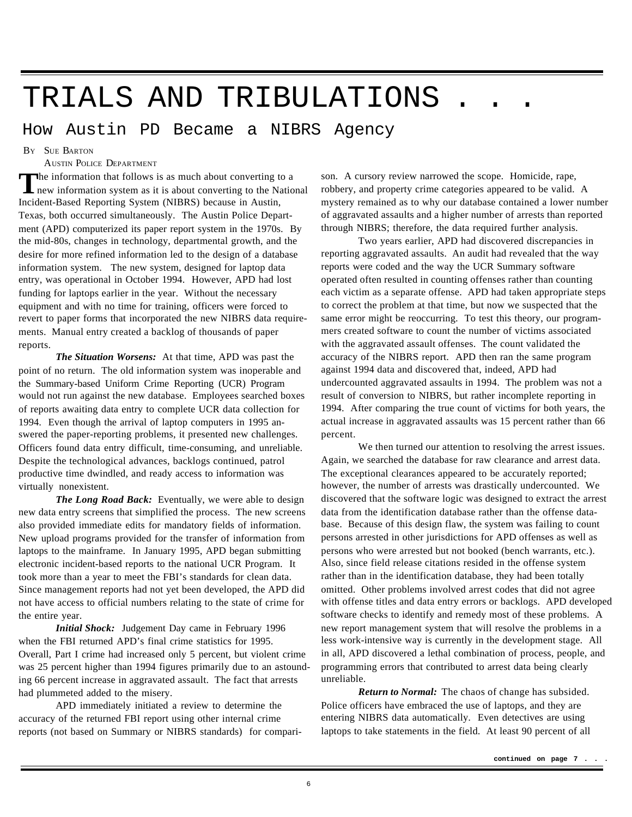# TRIALS AND TRIBULATIONS

How Austin PD Became a NIBRS Agency

B<sup>Y</sup> SUE BARTON

AUSTIN POLICE DEPARTMENT

The information that follows is as much about converting to a<br>
new information system as it is about converting to the National The information that follows is as much about converting to a Incident-Based Reporting System (NIBRS) because in Austin, Texas, both occurred simultaneously. The Austin Police Department (APD) computerized its paper report system in the 1970s. By the mid-80s, changes in technology, departmental growth, and the desire for more refined information led to the design of a database information system. The new system, designed for laptop data entry, was operational in October 1994. However, APD had lost funding for laptops earlier in the year. Without the necessary equipment and with no time for training, officers were forced to revert to paper forms that incorporated the new NIBRS data requirements. Manual entry created a backlog of thousands of paper reports.

*The Situation Worsens:* At that time, APD was past the point of no return. The old information system was inoperable and the Summary-based Uniform Crime Reporting (UCR) Program would not run against the new database. Employees searched boxes of reports awaiting data entry to complete UCR data collection for 1994. Even though the arrival of laptop computers in 1995 answered the paper-reporting problems, it presented new challenges. Officers found data entry difficult, time-consuming, and unreliable. Despite the technological advances, backlogs continued, patrol productive time dwindled, and ready access to information was virtually nonexistent.

*The Long Road Back:* Eventually, we were able to design new data entry screens that simplified the process. The new screens also provided immediate edits for mandatory fields of information. New upload programs provided for the transfer of information from laptops to the mainframe. In January 1995, APD began submitting electronic incident-based reports to the national UCR Program. It took more than a year to meet the FBI's standards for clean data. Since management reports had not yet been developed, the APD did not have access to official numbers relating to the state of crime for the entire year.

*Initial Shock:* Judgement Day came in February 1996 when the FBI returned APD's final crime statistics for 1995. Overall, Part I crime had increased only 5 percent, but violent crime was 25 percent higher than 1994 figures primarily due to an astounding 66 percent increase in aggravated assault. The fact that arrests had plummeted added to the misery.

APD immediately initiated a review to determine the accuracy of the returned FBI report using other internal crime reports (not based on Summary or NIBRS standards) for compari-

son. A cursory review narrowed the scope. Homicide, rape, robbery, and property crime categories appeared to be valid. A mystery remained as to why our database contained a lower number of aggravated assaults and a higher number of arrests than reported through NIBRS; therefore, the data required further analysis.

Two years earlier, APD had discovered discrepancies in reporting aggravated assaults. An audit had revealed that the way reports were coded and the way the UCR Summary software operated often resulted in counting offenses rather than counting each victim as a separate offense. APD had taken appropriate steps to correct the problem at that time, but now we suspected that the same error might be reoccurring. To test this theory, our programmers created software to count the number of victims associated with the aggravated assault offenses. The count validated the accuracy of the NIBRS report. APD then ran the same program against 1994 data and discovered that, indeed, APD had undercounted aggravated assaults in 1994. The problem was not a result of conversion to NIBRS, but rather incomplete reporting in 1994. After comparing the true count of victims for both years, the actual increase in aggravated assaults was 15 percent rather than 66 percent.

We then turned our attention to resolving the arrest issues. Again, we searched the database for raw clearance and arrest data. The exceptional clearances appeared to be accurately reported; however, the number of arrests was drastically undercounted. We discovered that the software logic was designed to extract the arrest data from the identification database rather than the offense database. Because of this design flaw, the system was failing to count persons arrested in other jurisdictions for APD offenses as well as persons who were arrested but not booked (bench warrants, etc.). Also, since field release citations resided in the offense system rather than in the identification database, they had been totally omitted. Other problems involved arrest codes that did not agree with offense titles and data entry errors or backlogs. APD developed software checks to identify and remedy most of these problems. A new report management system that will resolve the problems in a less work-intensive way is currently in the development stage. All in all, APD discovered a lethal combination of process, people, and programming errors that contributed to arrest data being clearly unreliable.

*Return to Normal:* The chaos of change has subsided. Police officers have embraced the use of laptops, and they are entering NIBRS data automatically. Even detectives are using laptops to take statements in the field. At least 90 percent of all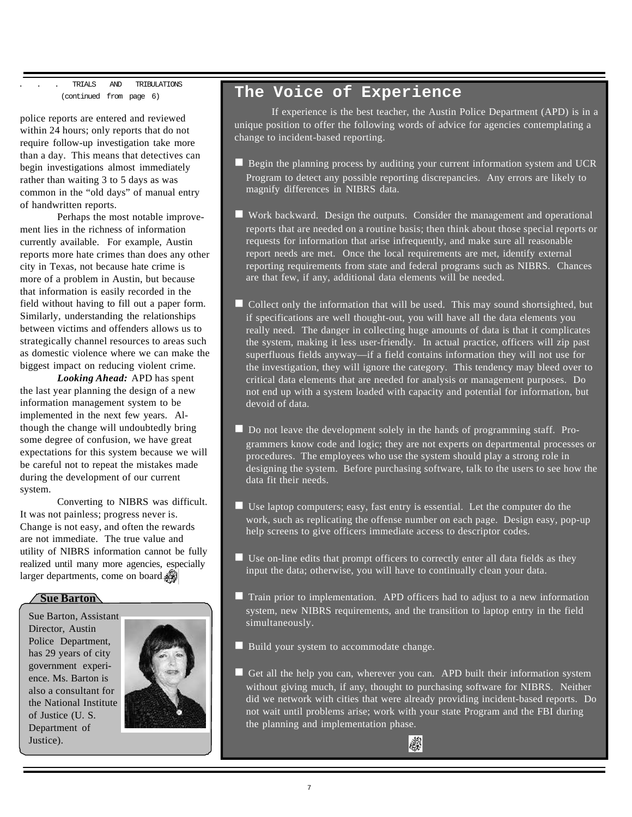TRIALS AND TRIBULATIONS (continued from page 6)

police reports are entered and reviewed within 24 hours; only reports that do not require follow-up investigation take more than a day. This means that detectives can begin investigations almost immediately rather than waiting 3 to 5 days as was common in the "old days" of manual entry of handwritten reports.

Perhaps the most notable improvement lies in the richness of information currently available. For example, Austin reports more hate crimes than does any other city in Texas, not because hate crime is more of a problem in Austin, but because that information is easily recorded in the field without having to fill out a paper form. Similarly, understanding the relationships between victims and offenders allows us to strategically channel resources to areas such as domestic violence where we can make the biggest impact on reducing violent crime.

*Looking Ahead:* APD has spent the last year planning the design of a new information management system to be implemented in the next few years. Although the change will undoubtedly bring some degree of confusion, we have great expectations for this system because we will be careful not to repeat the mistakes made during the development of our current system.

Converting to NIBRS was difficult. It was not painless; progress never is. Change is not easy, and often the rewards are not immediate. The true value and utility of NIBRS information cannot be fully realized until many more agencies, especially larger departments, come on board.

**Sue Barton**

Sue Barton, Assistant Director, Austin Police Department, has 29 years of city government experience. Ms. Barton is also a consultant for the National Institute of Justice (U. S. Department of Justice).



### **The Voice of Experience**

If experience is the best teacher, the Austin Police Department (APD) is in a unique position to offer the following words of advice for agencies contemplating a change to incident-based reporting.

- $\blacksquare$  Begin the planning process by auditing your current information system and UCR Program to detect any possible reporting discrepancies. Any errors are likely to magnify differences in NIBRS data.
- $\blacksquare$  Work backward. Design the outputs. Consider the management and operational reports that are needed on a routine basis; then think about those special reports or requests for information that arise infrequently, and make sure all reasonable report needs are met. Once the local requirements are met, identify external reporting requirements from state and federal programs such as NIBRS. Chances are that few, if any, additional data elements will be needed.
- $\blacksquare$  Collect only the information that will be used. This may sound shortsighted, but if specifications are well thought-out, you will have all the data elements you really need. The danger in collecting huge amounts of data is that it complicates the system, making it less user-friendly. In actual practice, officers will zip past superfluous fields anyway—if a field contains information they will not use for the investigation, they will ignore the category. This tendency may bleed over to critical data elements that are needed for analysis or management purposes. Do not end up with a system loaded with capacity and potential for information, but devoid of data.
- Do not leave the development solely in the hands of programming staff. Programmers know code and logic; they are not experts on departmental processes or procedures. The employees who use the system should play a strong role in designing the system. Before purchasing software, talk to the users to see how the data fit their needs.
- $\blacksquare$  Use laptop computers; easy, fast entry is essential. Let the computer do the work, such as replicating the offense number on each page. Design easy, pop-up help screens to give officers immediate access to descriptor codes.
- $\blacksquare$  Use on-line edits that prompt officers to correctly enter all data fields as they input the data; otherwise, you will have to continually clean your data.
- $\blacksquare$  Train prior to implementation. APD officers had to adjust to a new information system, new NIBRS requirements, and the transition to laptop entry in the field simultaneously.
- $\blacksquare$  Build your system to accommodate change.
- Get all the help you can, wherever you can. APD built their information system without giving much, if any, thought to purchasing software for NIBRS. Neither did we network with cities that were already providing incident-based reports. Do not wait until problems arise; work with your state Program and the FBI during the planning and implementation phase.

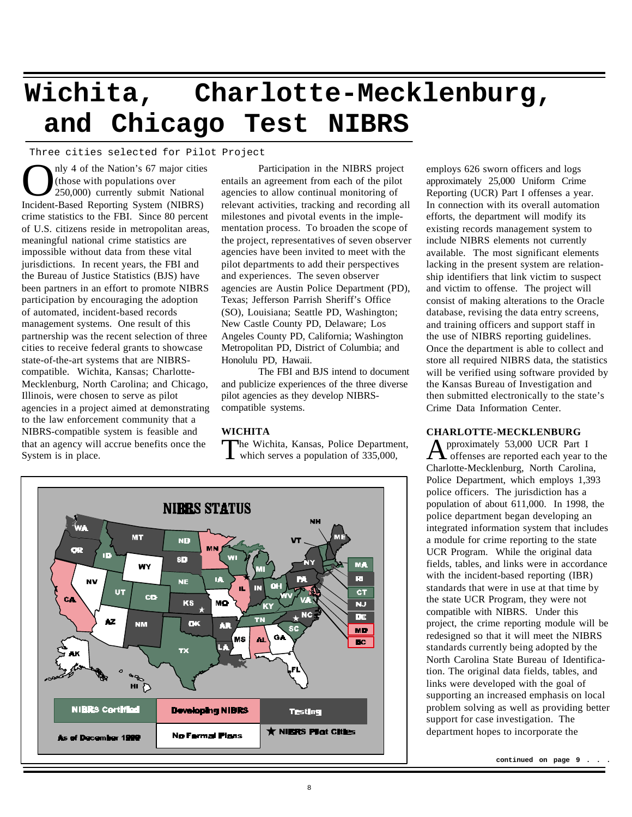# **Wichita, Charlotte-Mecklenburg, and Chicago Test NIBRS**

Three cities selected for Pilot Project

nly 4 of the Nation's 67 major citie<br>
(those with populations over<br>
150,000) currently submit National<br>
Incident-Based Reporting System (NIBRS) nly 4 of the Nation's 67 major cities (those with populations over 250,000) currently submit National crime statistics to the FBI. Since 80 percent of U.S. citizens reside in metropolitan areas, meaningful national crime statistics are impossible without data from these vital jurisdictions. In recent years, the FBI and the Bureau of Justice Statistics (BJS) have been partners in an effort to promote NIBRS participation by encouraging the adoption of automated, incident-based records management systems. One result of this partnership was the recent selection of three cities to receive federal grants to showcase state-of-the-art systems that are NIBRScompatible. Wichita, Kansas; Charlotte-Mecklenburg, North Carolina; and Chicago, Illinois, were chosen to serve as pilot agencies in a project aimed at demonstrating to the law enforcement community that a NIBRS-compatible system is feasible and that an agency will accrue benefits once the System is in place.

Participation in the NIBRS project entails an agreement from each of the pilot agencies to allow continual monitoring of relevant activities, tracking and recording all milestones and pivotal events in the implementation process. To broaden the scope of the project, representatives of seven observer agencies have been invited to meet with the pilot departments to add their perspectives and experiences. The seven observer agencies are Austin Police Department (PD), Texas; Jefferson Parrish Sheriff's Office (SO), Louisiana; Seattle PD, Washington; New Castle County PD, Delaware; Los Angeles County PD, California; Washington Metropolitan PD, District of Columbia; and Honolulu PD, Hawaii.

The FBI and BJS intend to document and publicize experiences of the three diverse pilot agencies as they develop NIBRScompatible systems.

#### **WICHITA**

The Wichita, Kansas, Police Department,<br>which serves a population of 335,000, which serves a population of 335,000,



employs 626 sworn officers and logs approximately 25,000 Uniform Crime Reporting (UCR) Part I offenses a year. In connection with its overall automation efforts, the department will modify its existing records management system to include NIBRS elements not currently available. The most significant elements lacking in the present system are relationship identifiers that link victim to suspect and victim to offense. The project will consist of making alterations to the Oracle database, revising the data entry screens, and training officers and support staff in the use of NIBRS reporting guidelines. Once the department is able to collect and store all required NIBRS data, the statistics will be verified using software provided by the Kansas Bureau of Investigation and then submitted electronically to the state's Crime Data Information Center.

#### **CHARLOTTE-MECKLENBURG**

A pproximately 53,000 UCR Part I offenses are reported each year to the Charlotte-Mecklenburg, North Carolina, Police Department, which employs 1,393 police officers. The jurisdiction has a population of about 611,000. In 1998, the police department began developing an integrated information system that includes a module for crime reporting to the state UCR Program. While the original data fields, tables, and links were in accordance with the incident-based reporting (IBR) standards that were in use at that time by the state UCR Program, they were not compatible with NIBRS. Under this project, the crime reporting module will be redesigned so that it will meet the NIBRS standards currently being adopted by the North Carolina State Bureau of Identification. The original data fields, tables, and links were developed with the goal of supporting an increased emphasis on local problem solving as well as providing better support for case investigation. The department hopes to incorporate the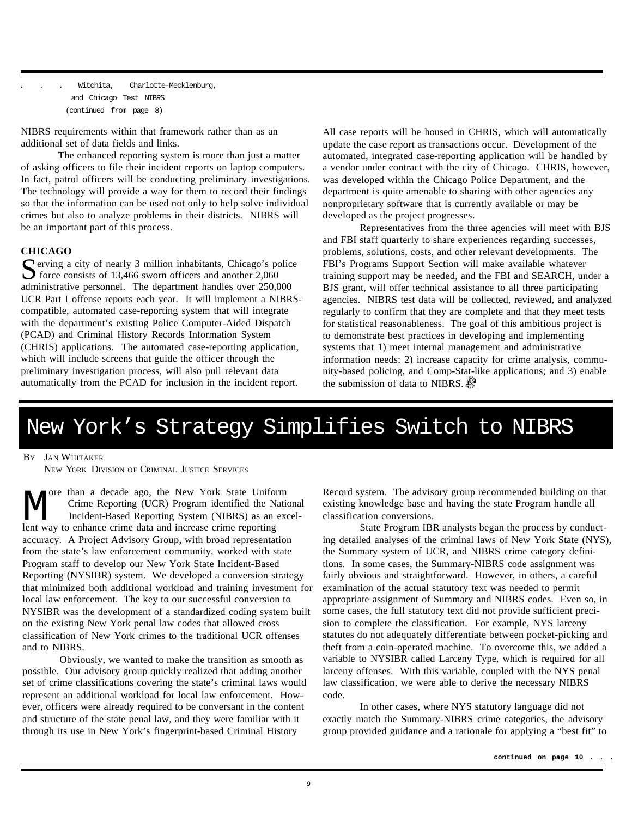Witchita, Charlotte-Mecklenburg, and Chicago Test NIBRS (continued from page 8)

NIBRS requirements within that framework rather than as an additional set of data fields and links.

The enhanced reporting system is more than just a matter of asking officers to file their incident reports on laptop computers. In fact, patrol officers will be conducting preliminary investigations. The technology will provide a way for them to record their findings so that the information can be used not only to help solve individual crimes but also to analyze problems in their districts. NIBRS will be an important part of this process.

#### **CHICAGO**

S<br>
Serving a city of nearly 3 million inhabitants, Chicago's police<br>
force consists of 13,466 sworn officers and another 2,060<br>  $\frac{2,060}{2}$  $\sum$  force consists of 13,466 sworn officers and another 2,060 administrative personnel. The department handles over 250,000 UCR Part I offense reports each year. It will implement a NIBRScompatible, automated case-reporting system that will integrate with the department's existing Police Computer-Aided Dispatch (PCAD) and Criminal History Records Information System (CHRIS) applications. The automated case-reporting application, which will include screens that guide the officer through the preliminary investigation process, will also pull relevant data automatically from the PCAD for inclusion in the incident report.

All case reports will be housed in CHRIS, which will automatically update the case report as transactions occur. Development of the automated, integrated case-reporting application will be handled by a vendor under contract with the city of Chicago. CHRIS, however, was developed within the Chicago Police Department, and the department is quite amenable to sharing with other agencies any nonproprietary software that is currently available or may be developed as the project progresses.

Representatives from the three agencies will meet with BJS and FBI staff quarterly to share experiences regarding successes, problems, solutions, costs, and other relevant developments. The FBI's Programs Support Section will make available whatever training support may be needed, and the FBI and SEARCH, under a BJS grant, will offer technical assistance to all three participating agencies. NIBRS test data will be collected, reviewed, and analyzed regularly to confirm that they are complete and that they meet tests for statistical reasonableness. The goal of this ambitious project is to demonstrate best practices in developing and implementing systems that 1) meet internal management and administrative information needs; 2) increase capacity for crime analysis, community-based policing, and Comp-Stat-like applications; and 3) enable the submission of data to NIBRS.

### New York's Strategy Simplifies Switch to NIBRS

#### B<sup>Y</sup> JAN WHITAKER

NEW YORK DIVISION OF CRIMINAL JUSTICE SERVICES

M Tore than a decade ago, the New York State Uniform Crime Reporting (UCR) Program identified the N<br>Incident-Based Reporting System (NIBRS) as an<br>lent way to enhance crime data and increase crime reporting ore than a decade ago, the New York State Uniform Crime Reporting (UCR) Program identified the National Incident-Based Reporting System (NIBRS) as an excelaccuracy. A Project Advisory Group, with broad representation from the state's law enforcement community, worked with state Program staff to develop our New York State Incident-Based Reporting (NYSIBR) system. We developed a conversion strategy that minimized both additional workload and training investment for local law enforcement. The key to our successful conversion to NYSIBR was the development of a standardized coding system built on the existing New York penal law codes that allowed cross classification of New York crimes to the traditional UCR offenses and to NIBRS.

Obviously, we wanted to make the transition as smooth as possible. Our advisory group quickly realized that adding another set of crime classifications covering the state's criminal laws would represent an additional workload for local law enforcement. However, officers were already required to be conversant in the content and structure of the state penal law, and they were familiar with it through its use in New York's fingerprint-based Criminal History

Record system. The advisory group recommended building on that existing knowledge base and having the state Program handle all classification conversions.

State Program IBR analysts began the process by conducting detailed analyses of the criminal laws of New York State (NYS), the Summary system of UCR, and NIBRS crime category definitions. In some cases, the Summary-NIBRS code assignment was fairly obvious and straightforward. However, in others, a careful examination of the actual statutory text was needed to permit appropriate assignment of Summary and NIBRS codes. Even so, in some cases, the full statutory text did not provide sufficient precision to complete the classification. For example, NYS larceny statutes do not adequately differentiate between pocket-picking and theft from a coin-operated machine. To overcome this, we added a variable to NYSIBR called Larceny Type, which is required for all larceny offenses. With this variable, coupled with the NYS penal law classification, we were able to derive the necessary NIBRS code.

In other cases, where NYS statutory language did not exactly match the Summary-NIBRS crime categories, the advisory group provided guidance and a rationale for applying a "best fit" to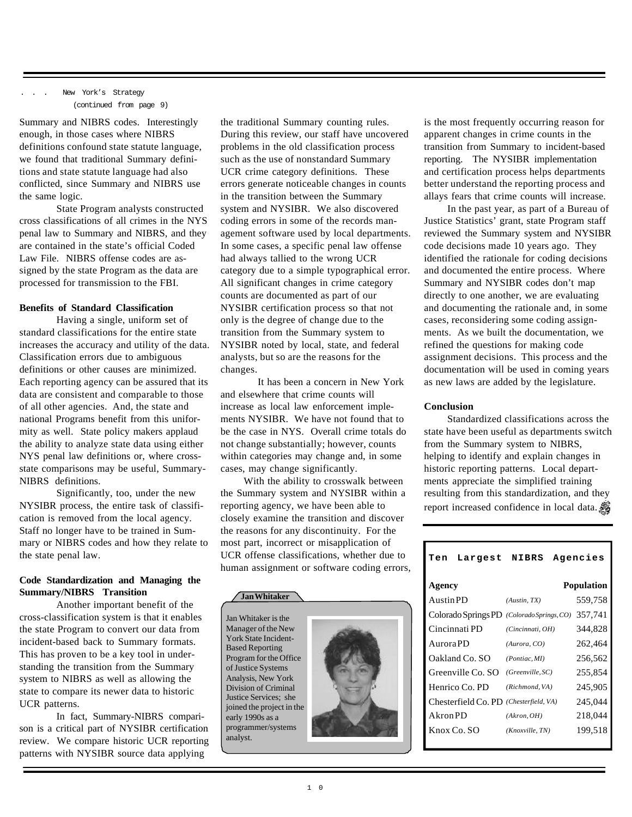#### New York's Strategy (continued from page 9)

Summary and NIBRS codes. Interestingly enough, in those cases where NIBRS definitions confound state statute language, we found that traditional Summary definitions and state statute language had also conflicted, since Summary and NIBRS use the same logic.

State Program analysts constructed cross classifications of all crimes in the NYS penal law to Summary and NIBRS, and they are contained in the state's official Coded Law File. NIBRS offense codes are assigned by the state Program as the data are processed for transmission to the FBI.

#### **Benefits of Standard Classification**

Having a single, uniform set of standard classifications for the entire state increases the accuracy and utility of the data. Classification errors due to ambiguous definitions or other causes are minimized. Each reporting agency can be assured that its data are consistent and comparable to those of all other agencies. And, the state and national Programs benefit from this uniformity as well. State policy makers applaud the ability to analyze state data using either NYS penal law definitions or, where crossstate comparisons may be useful, Summary-NIBRS definitions.

Significantly, too, under the new NYSIBR process, the entire task of classification is removed from the local agency. Staff no longer have to be trained in Summary or NIBRS codes and how they relate to the state penal law.

#### **Code Standardization and Managing the Summary/NIBRS Transition**

Another important benefit of the cross-classification system is that it enables the state Program to convert our data from incident-based back to Summary formats. This has proven to be a key tool in understanding the transition from the Summary system to NIBRS as well as allowing the state to compare its newer data to historic UCR patterns.

In fact, Summary-NIBRS comparison is a critical part of NYSIBR certification review. We compare historic UCR reporting patterns with NYSIBR source data applying

the traditional Summary counting rules. During this review, our staff have uncovered problems in the old classification process such as the use of nonstandard Summary UCR crime category definitions. These errors generate noticeable changes in counts in the transition between the Summary system and NYSIBR. We also discovered coding errors in some of the records management software used by local departments. In some cases, a specific penal law offense had always tallied to the wrong UCR category due to a simple typographical error. All significant changes in crime category counts are documented as part of our NYSIBR certification process so that not only is the degree of change due to the transition from the Summary system to NYSIBR noted by local, state, and federal analysts, but so are the reasons for the changes.

It has been a concern in New York and elsewhere that crime counts will increase as local law enforcement implements NYSIBR. We have not found that to be the case in NYS. Overall crime totals do not change substantially; however, counts within categories may change and, in some cases, may change significantly.

With the ability to crosswalk between the Summary system and NYSIBR within a reporting agency, we have been able to closely examine the transition and discover the reasons for any discontinuity. For the most part, incorrect or misapplication of UCR offense classifications, whether due to human assignment or software coding errors,

**Jan Whitaker**

Jan Whitaker is the Manager of the New York State Incident-Based Reporting Program for the Office of Justice Systems Analysis, New York Division of Criminal Justice Services; she joined the project in the early 1990s as a programmer/systems analyst.



is the most frequently occurring reason for apparent changes in crime counts in the transition from Summary to incident-based reporting. The NYSIBR implementation and certification process helps departments better understand the reporting process and allays fears that crime counts will increase.

In the past year, as part of a Bureau of Justice Statistics' grant, state Program staff reviewed the Summary system and NYSIBR code decisions made 10 years ago. They identified the rationale for coding decisions and documented the entire process. Where Summary and NYSIBR codes don't map directly to one another, we are evaluating and documenting the rationale and, in some cases, reconsidering some coding assignments. As we built the documentation, we refined the questions for making code assignment decisions. This process and the documentation will be used in coming years as new laws are added by the legislature.

#### **Conclusion**

Standardized classifications across the state have been useful as departments switch from the Summary system to NIBRS, helping to identify and explain changes in historic reporting patterns. Local departments appreciate the simplified training resulting from this standardization, and they report increased confidence in local data. 5

| Ten             | Largest                                | NIBRS                  | Agencies          |
|-----------------|----------------------------------------|------------------------|-------------------|
| Agency          |                                        |                        | <b>Population</b> |
| <b>AustinPD</b> |                                        | (Austin, TX)           | 559.758           |
|                 | Colorado Springs PD                    | (Colorado Springs, CO) | 357,741           |
|                 | Cincinnati PD                          | (Cincinnati, OH)       | 344.828           |
| Aurora PD       |                                        | (Aurora, CO)           | 262,464           |
|                 | Oakland Co. SO                         | (Pontiac, MI)          | 256.562           |
|                 | Greenville Co. SO                      | (Greenville, SC)       | 255.854           |
|                 | Henrico Co. PD                         | (Richmond, VA)         | 245,905           |
|                 | Chesterfield Co. PD (Chesterfield, VA) |                        | 245,044           |
| Akron PD        |                                        | (Akron, OH)            | 218,044           |
|                 | Knox Co. SO                            | (Knoxville, TN)        | 199,518           |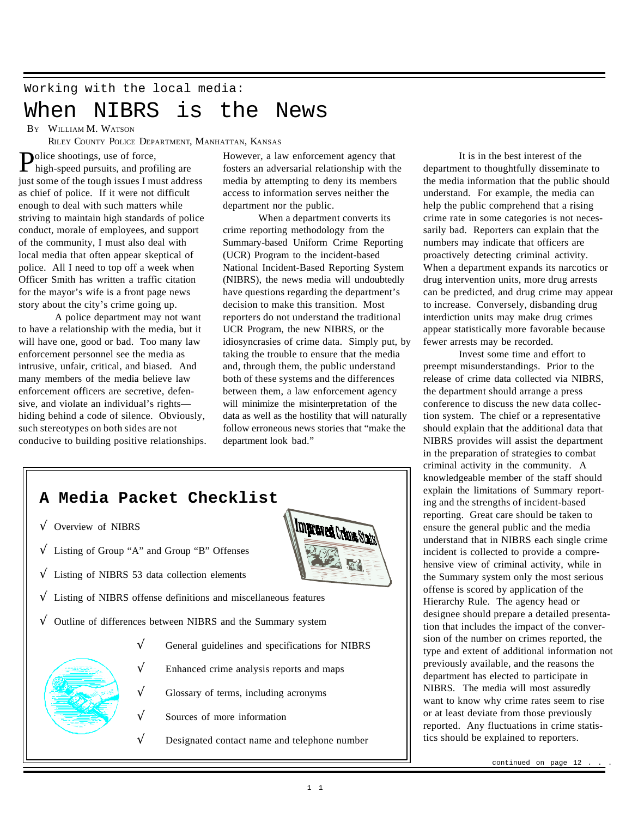#### Working with the local media:

### When NIBRS is the News

B<sup>Y</sup> WILLIAM M. WATSON

RILEY COUNTY POLICE DEPARTMENT, MANHATTAN, KANSAS

**Police shootings, use of force,**<br>high-speed pursuits, and prof  $\blacksquare$  high-speed pursuits, and profiling are just some of the tough issues I must address as chief of police. If it were not difficult enough to deal with such matters while striving to maintain high standards of police conduct, morale of employees, and support of the community, I must also deal with local media that often appear skeptical of police. All I need to top off a week when Officer Smith has written a traffic citation for the mayor's wife is a front page news story about the city's crime going up.

A police department may not want to have a relationship with the media, but it will have one, good or bad. Too many law enforcement personnel see the media as intrusive, unfair, critical, and biased. And many members of the media believe law enforcement officers are secretive, defensive, and violate an individual's rights hiding behind a code of silence. Obviously, such stereotypes on both sides are not conducive to building positive relationships. However, a law enforcement agency that fosters an adversarial relationship with the media by attempting to deny its members access to information serves neither the department nor the public.

When a department converts its crime reporting methodology from the Summary-based Uniform Crime Reporting (UCR) Program to the incident-based National Incident-Based Reporting System (NIBRS), the news media will undoubtedly have questions regarding the department's decision to make this transition. Most reporters do not understand the traditional UCR Program, the new NIBRS, or the idiosyncrasies of crime data. Simply put, by taking the trouble to ensure that the media and, through them, the public understand both of these systems and the differences between them, a law enforcement agency will minimize the misinterpretation of the data as well as the hostility that will naturally follow erroneous news stories that "make the department look bad."



It is in the best interest of the department to thoughtfully disseminate to the media information that the public should understand. For example, the media can help the public comprehend that a rising crime rate in some categories is not necessarily bad. Reporters can explain that the numbers may indicate that officers are proactively detecting criminal activity. When a department expands its narcotics or drug intervention units, more drug arrests can be predicted, and drug crime may appear to increase. Conversely, disbanding drug interdiction units may make drug crimes appear statistically more favorable because fewer arrests may be recorded.

Invest some time and effort to preempt misunderstandings. Prior to the release of crime data collected via NIBRS, the department should arrange a press conference to discuss the new data collection system. The chief or a representative should explain that the additional data that NIBRS provides will assist the department in the preparation of strategies to combat criminal activity in the community. A knowledgeable member of the staff should explain the limitations of Summary reporting and the strengths of incident-based reporting. Great care should be taken to ensure the general public and the media understand that in NIBRS each single crime incident is collected to provide a comprehensive view of criminal activity, while in the Summary system only the most serious offense is scored by application of the Hierarchy Rule. The agency head or designee should prepare a detailed presentation that includes the impact of the conversion of the number on crimes reported, the type and extent of additional information not previously available, and the reasons the department has elected to participate in NIBRS. The media will most assuredly want to know why crime rates seem to rise or at least deviate from those previously reported. Any fluctuations in crime statistics should be explained to reporters.

continued on page 12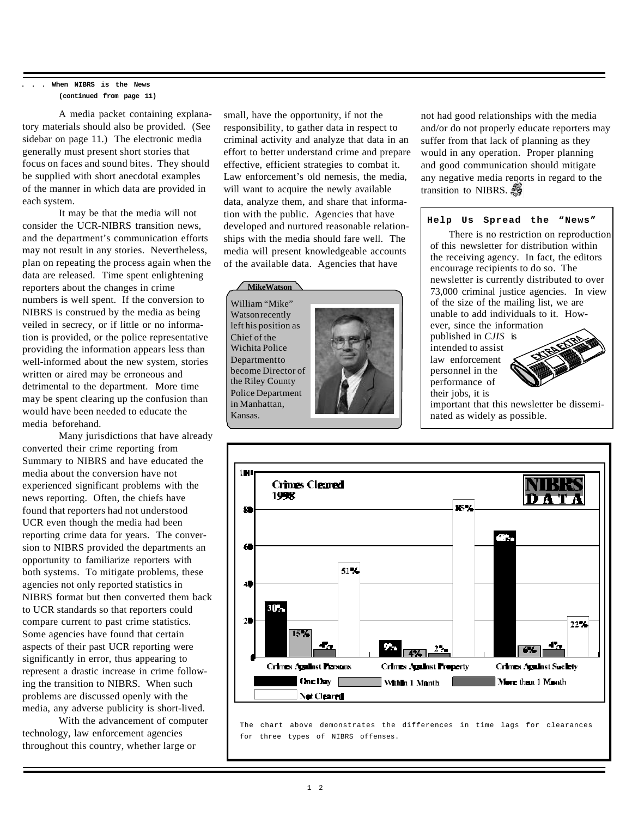#### **. . . When NIBRS is the News (continued from page 11)**

A media packet containing explanatory materials should also be provided. (See sidebar on page 11.) The electronic media generally must present short stories that focus on faces and sound bites. They should be supplied with short anecdotal examples of the manner in which data are provided in each system.

It may be that the media will not consider the UCR-NIBRS transition news, and the department's communication efforts may not result in any stories. Nevertheless, plan on repeating the process again when the data are released. Time spent enlightening reporters about the changes in crime numbers is well spent. If the conversion to NIBRS is construed by the media as being veiled in secrecy, or if little or no information is provided, or the police representative providing the information appears less than well-informed about the new system, stories written or aired may be erroneous and detrimental to the department. More time may be spent clearing up the confusion than would have been needed to educate the media beforehand.

Many jurisdictions that have already converted their crime reporting from Summary to NIBRS and have educated the media about the conversion have not experienced significant problems with the news reporting. Often, the chiefs have found that reporters had not understood UCR even though the media had been reporting crime data for years. The conversion to NIBRS provided the departments an opportunity to familiarize reporters with both systems. To mitigate problems, these agencies not only reported statistics in NIBRS format but then converted them back to UCR standards so that reporters could compare current to past crime statistics. Some agencies have found that certain aspects of their past UCR reporting were significantly in error, thus appearing to represent a drastic increase in crime following the transition to NIBRS. When such problems are discussed openly with the media, any adverse publicity is short-lived.

With the advancement of computer technology, law enforcement agencies throughout this country, whether large or

small, have the opportunity, if not the responsibility, to gather data in respect to criminal activity and analyze that data in an effort to better understand crime and prepare effective, efficient strategies to combat it. Law enforcement's old nemesis, the media, will want to acquire the newly available data, analyze them, and share that information with the public. Agencies that have developed and nurtured reasonable relationships with the media should fare well. The media will present knowledgeable accounts of the available data. Agencies that have

**MikeWatson** William "Mike" Watson recently left his position as Chief of the Wichita Police **Department to** become Director of the Riley County Police Department in Manhattan, Kansas.



not had good relationships with the media and/or do not properly educate reporters may suffer from that lack of planning as they would in any operation. Proper planning and good communication should mitigate any negative media reports in regard to the transition to NIBRS. 5

#### **Help Us Spread the "News"**

There is no restriction on reproduction of this newsletter for distribution within the receiving agency. In fact, the editors encourage recipients to do so. The newsletter is currently distributed to over 73,000 criminal justice agencies. In view of the size of the mailing list, we are unable to add individuals to it. However, since the information

published in *CJIS* is intended to assist law enforcement personnel in the performance of their jobs, it is



important that this newsletter be disseminated as widely as possible.



The chart above demonstrates the differences in time lags for clearances for three types of NIBRS offenses.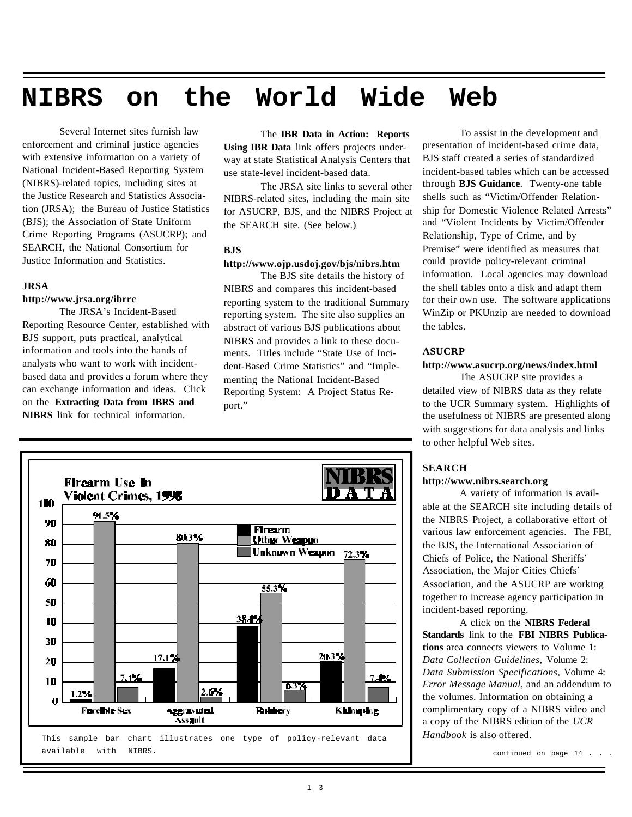# **NIBRS on the World Wide Web**

Several Internet sites furnish law enforcement and criminal justice agencies with extensive information on a variety of National Incident-Based Reporting System (NIBRS)-related topics, including sites at the Justice Research and Statistics Association (JRSA); the Bureau of Justice Statistics (BJS); the Association of State Uniform Crime Reporting Programs (ASUCRP); and SEARCH, the National Consortium for Justice Information and Statistics.

#### **JRSA**

#### **http://www.jrsa.org/ibrrc**

The JRSA's Incident-Based Reporting Resource Center, established with BJS support, puts practical, analytical information and tools into the hands of analysts who want to work with incidentbased data and provides a forum where they can exchange information and ideas. Click on the **Extracting Data from IBRS and NIBRS** link for technical information.

### The **IBR Data in Action: Reports**

**Using IBR Data** link offers projects underway at state Statistical Analysis Centers that use state-level incident-based data.

The JRSA site links to several other NIBRS-related sites, including the main site for ASUCRP, BJS, and the NIBRS Project at the SEARCH site. (See below.)

#### **BJS**

#### **http://www.ojp.usdoj.gov/bjs/nibrs.htm**

The BJS site details the history of NIBRS and compares this incident-based reporting system to the traditional Summary reporting system. The site also supplies an abstract of various BJS publications about NIBRS and provides a link to these documents. Titles include "State Use of Incident-Based Crime Statistics" and "Implementing the National Incident-Based Reporting System: A Project Status Report."



To assist in the development and presentation of incident-based crime data, BJS staff created a series of standardized incident-based tables which can be accessed through **BJS Guidance**. Twenty-one table shells such as "Victim/Offender Relationship for Domestic Violence Related Arrests" and "Violent Incidents by Victim/Offender Relationship, Type of Crime, and by Premise" were identified as measures that could provide policy-relevant criminal information. Local agencies may download the shell tables onto a disk and adapt them for their own use. The software applications WinZip or PKUnzip are needed to download the tables.

#### **ASUCRP**

#### **http://www.asucrp.org/news/index.html**

The ASUCRP site provides a detailed view of NIBRS data as they relate to the UCR Summary system. Highlights of the usefulness of NIBRS are presented along with suggestions for data analysis and links to other helpful Web sites.

#### **SEARCH**

#### **http://www.nibrs.search.org**

A variety of information is available at the SEARCH site including details of the NIBRS Project, a collaborative effort of various law enforcement agencies. The FBI, the BJS, the International Association of Chiefs of Police, the National Sheriffs' Association, the Major Cities Chiefs' Association, and the ASUCRP are working together to increase agency participation in incident-based reporting.

A click on the **NIBRS Federal Standards** link to the **FBI NIBRS Publications** area connects viewers to Volume 1: *Data Collection Guidelines,* Volume 2: *Data Submission Specifications,* Volume 4: *Error Message Manual*, and an addendum to the volumes. Information on obtaining a complimentary copy of a NIBRS video and a copy of the NIBRS edition of the *UCR Handbook* is also offered.

continued on page 14 . . .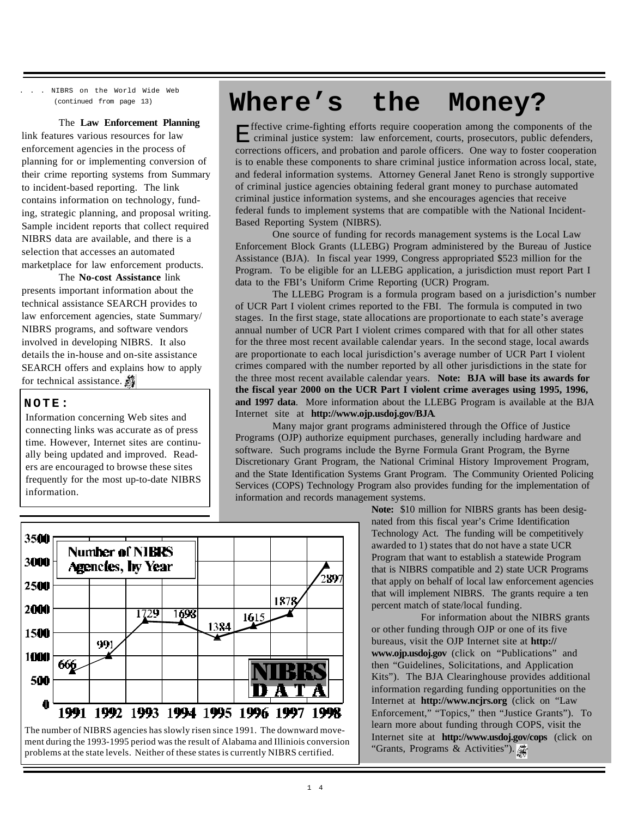. . . NIBRS on the World Wide Web (continued from page 13)

#### The **Law Enforcement Planning**

link features various resources for law enforcement agencies in the process of planning for or implementing conversion of their crime reporting systems from Summary to incident-based reporting. The link contains information on technology, funding, strategic planning, and proposal writing. Sample incident reports that collect required NIBRS data are available, and there is a selection that accesses an automated marketplace for law enforcement products.

The **No-cost Assistance** link presents important information about the technical assistance SEARCH provides to law enforcement agencies, state Summary/ NIBRS programs, and software vendors involved in developing NIBRS. It also details the in-house and on-site assistance SEARCH offers and explains how to apply for technical assistance.

#### **NOTE:**

Information concerning Web sites and connecting links was accurate as of press time. However, Internet sites are continually being updated and improved. Readers are encouraged to browse these sites frequently for the most up-to-date NIBRS information.

# **Where's the Money?**

**H** ffective crime-fighting efforts require cooperation among the components of the criminal justice system: law enforcement, courts, prosecutors, public defenders, criminal justice system: law enforcement, courts, prosecutors, public defenders, corrections officers, and probation and parole officers. One way to foster cooperation is to enable these components to share criminal justice information across local, state, and federal information systems. Attorney General Janet Reno is strongly supportive of criminal justice agencies obtaining federal grant money to purchase automated criminal justice information systems, and she encourages agencies that receive federal funds to implement systems that are compatible with the National Incident-Based Reporting System (NIBRS).

One source of funding for records management systems is the Local Law Enforcement Block Grants (LLEBG) Program administered by the Bureau of Justice Assistance (BJA). In fiscal year 1999, Congress appropriated \$523 million for the Program. To be eligible for an LLEBG application, a jurisdiction must report Part I data to the FBI's Uniform Crime Reporting (UCR) Program.

The LLEBG Program is a formula program based on a jurisdiction's number of UCR Part I violent crimes reported to the FBI. The formula is computed in two stages. In the first stage, state allocations are proportionate to each state's average annual number of UCR Part I violent crimes compared with that for all other states for the three most recent available calendar years. In the second stage, local awards are proportionate to each local jurisdiction's average number of UCR Part I violent crimes compared with the number reported by all other jurisdictions in the state for the three most recent available calendar years. **Note: BJA will base its awards for the fiscal year 2000 on the UCR Part I violent crime averages using 1995, 1996, and 1997 data**. More information about the LLEBG Program is available at the BJA Internet site at **http://www.ojp.usdoj.gov/BJA**.

Many major grant programs administered through the Office of Justice Programs (OJP) authorize equipment purchases, generally including hardware and software. Such programs include the Byrne Formula Grant Program, the Byrne Discretionary Grant Program, the National Criminal History Improvement Program, and the State Identification Systems Grant Program. The Community Oriented Policing Services (COPS) Technology Program also provides funding for the implementation of information and records management systems.



The number of NIBRS agencies has slowly risen since 1991. The downward movement during the 1993-1995 period was the result of Alabama and Illiniois conversion problems at the state levels. Neither of these states is currently NIBRS certified.

**Note:** \$10 million for NIBRS grants has been designated from this fiscal year's Crime Identification Technology Act. The funding will be competitively awarded to 1) states that do not have a state UCR Program that want to establish a statewide Program that is NIBRS compatible and 2) state UCR Programs that apply on behalf of local law enforcement agencies that will implement NIBRS. The grants require a ten percent match of state/local funding.

For information about the NIBRS grants or other funding through OJP or one of its five bureaus, visit the OJP Internet site at **http:// www.ojp.usdoj.gov** (click on "Publications" and then "Guidelines, Solicitations, and Application Kits"). The BJA Clearinghouse provides additional information regarding funding opportunities on the Internet at **http://www.ncjrs.org** (click on "Law Enforcement," "Topics," then "Justice Grants"). To learn more about funding through COPS, visit the Internet site at **http://www.usdoj.gov/cops** (click on "Grants, Programs & Activities").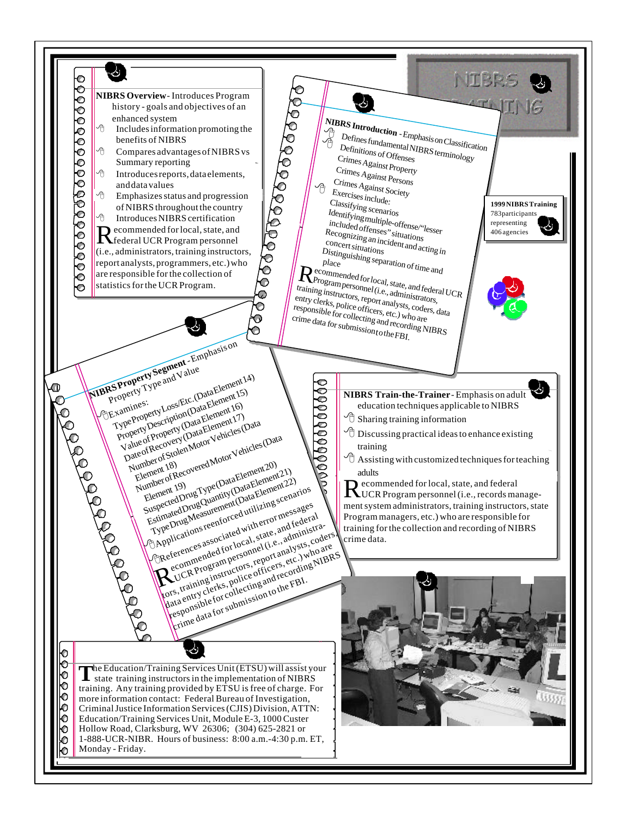$\Delta^{-}$ NIBRS  $\mathbb C$  $\footnotesize \begin{array}{c} \textcolor{blue}{\text{NIBRS Introduction}}\ \textcolor{blue}{\bigcirc \textcolor{blue}{\bigcirc \textcolor{blue}{\bigcirc \textcolor{blue}{\bigcirc \textcolor{blue}{\bigcirc \textcolor{blue}{\bigcirc \textcolor{blue}{\bigcirc \textcolor{blue}{\bigcirc \textcolor{blue}{\bigcirc \textcolor{blue}{\bigcirc \textcolor{blue}{\bigcirc \textcolor{blue}{\bigcirc \textcolor{blue}{\bigcirc \textcolor{blue}{\bigcirc \textcolor{blue}{\bigcirc \textcolor{blue}{\bigcirc \textcolor{blue}{\bigcirc \textcolor{blue}{\bigcirc \textcolor{blue}{\bigcirc \textcolor{blue}{\bigcirc \textcolor{blue}{\bigcirc \textcolor{blue$ 0000000000000000 **NIBRS Overview** - Introduces Program  $\mathcal{S}^{\ast}$ history - goals and objectives of an  $\sqrt{\frac{A}{C}}$  Defines fundamental NIBRS terminology<br> $\frac{A}{D}$  Definitions of Offensas enhanced system Includes information promoting the **B**<br>Defines fundamental NIBRS terminology<br>Crimes Actions of Offenses benefits of NIBRS Compares advantages of NIBRS vs Crimes Against Property Summary reporting Crimes Against Persons Introduces reports, data elements, Crimes Against Society and data values  $\begin{array}{cc}\n\bigoplus \text{Crimes} \text{Aganst} \text{S}_0 \\
\text{Exercises include:}\n\end{array}$ 8 Emphasizes status and progression Classifying scenarios **1999 NIBRS Training** of NIBRS throughout the country Identifying multiple-offense/"lesser 783 participants 8 Introduces NIBRS certification included offenses" situations representing Recommended for local, state, and<br>
federal UCR Program personnel ecommended for local, state, and 406 agenciesRecognizing an incident and acting in<br>
Concert situations<br>
Distinguistic intervals of the distinguistic intervals of the distinguistions (i.e., administrators, training instructors, Distinguishing separation of time and<br>place<br>communication of time and report analysts, programmers, etc.) who  $R_{\text{Programpended for local, state, and federal UCR}}^{\text{ecommented of a local, state}}$ are responsible for the collection of statistics for the UCR Program.  $\overline{O}$ entry clerks, police officers, etc.) who are responsible for collecting and recording NIBRS Ō  $\hat{\mathbf{O}}$ crime data for submission <sup>t</sup>o the FBI. Ô **NIBRS Property Segment - Emphasis on** BExamines: Construction Louis Cost Etc. (Data Element 14) Property Loss/Etc.(Data Element 15)<br>Property Description (Data Element 15) 000000000000 O **NIBRS Train-the-Trainer-Emphasis on adult** Value of Property (Data Element 16) education techniques applicable to NIBRS value of Recovery (Data Element 17) Mumber of Stolen Motor Vehicles (Data  $\partial$  Sharing training information  $\partial$  Discussing practical ideas to enhance existing ue of Frocovery (Denoted Vehicles (Data<br>teof Recovered Motor Vehicles (Data<br>umber of Recovered Motor Vehicles (Data<br>Elember of Recovered Motor Vehicles (Data Element 20) training  $\Theta$  Assisting with customized techniques for teaching Estimated Drug Quantity (Data Element 21)<br>
Estimated Drug Quantity (Data Element 22)<br>
Estimated Drug Quantity (Data Element 22)<br>
Estimated Drug Quantity (Data Element 22)<br>
Type Drug Measurem for codutitier or messages<br>
(Ca Jumber (18)<br>Element 18) abert 18)<br>ement 18)<br>umber of Recovered No. (Data Element 20)<br>Element 19)<br>Suspected Drug Quantity (Data Element<br>Suspected Drug Quantent (Antilizing) Estimated Urug Quantity (Data Element 21)<br>Estimated Urug Quantity (Data Element 22) adults 1 ype urug Measurement to a manuscription scenarios R ecommended for local, state, and federal umber<br>Element 19) UCR Program personnel (i.e., records manage-Person associated with error messages ment system administrators, training instructors, state Program managers, etc.) who are responsible for heug Measur<br>Drug Measur de divit error messiederal<br>lications resociated with error and federal<br>ferences associated with example tile, and principle<br>ecommended for specific error steel, who training for the collection and recording of NIBRS rections reenting and the content of the code<br>erences associated with c.e., administrated<br>erences associated program personnel (i.e., administrated)<br>commences report and recording NII<br>UCR Program personnel content of the c pplications, associated states, administrations, coders, accommended for local, states, administrations, coders, and a report analysts, coders,  $\chi^2$  commenter and recording NIBRS of CR Program personne ording NIBRS of  $\$ crime data. pata entry clerks, police officers, etc.) who are discussed the pataments of the pataments of the pataments of the sponsible for collecting and recording NIBRS eferences and d for local distant lists, ho are<br>eferences and d for local proportions, etc.) who are<br>ecommenderam persons, reporting NIBR<br>cors, training instructions and recording Fig.<br>for content of content instant of the  $\mathbb{R}^{\frac{e}{v}}$ contains the contains and recording<br>contains the submission to the FBI. À O 992 The Education/Training Services Unit (ETSU) will assist your state training instructors in the implementation of NIBRS state training instructors in the implementation of NIBRS training. Any training provided by ETSU is free of charge. For ŀō more information contact: Federal Bureau of Investigation, Ю Criminal Justice Information Services (CJIS) Division, ATTN: Ю Education/Training Services Unit, Module E-3, 1000 Custer Hollow Road, Clarksburg, WV 26306; (304) 625-2821 or O 1-888-UCR-NIBR. Hours of business: 8:00 a.m.-4:30 p.m. ET, Ю Monday - Friday. Ю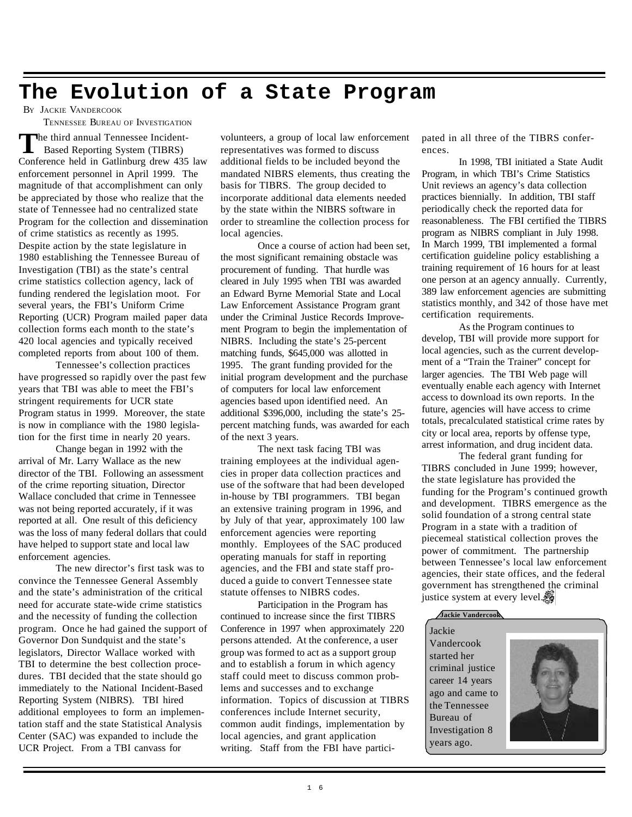### **The Evolution of a State Program**

BY JACKIE VANDERCOOK

TENNESSEE BUREAU OF INVESTIGATION

The third annual Tennessee Incident-<br>
Based Reporting System (TIBRS)<br>
Conference held in Gatlinburg drew 435 law he third annual Tennessee Incident- Based Reporting System (TIBRS) enforcement personnel in April 1999. The magnitude of that accomplishment can only be appreciated by those who realize that the state of Tennessee had no centralized state Program for the collection and dissemination of crime statistics as recently as 1995. Despite action by the state legislature in 1980 establishing the Tennessee Bureau of Investigation (TBI) as the state's central crime statistics collection agency, lack of funding rendered the legislation moot. For several years, the FBI's Uniform Crime Reporting (UCR) Program mailed paper data collection forms each month to the state's 420 local agencies and typically received completed reports from about 100 of them.

Tennessee's collection practices have progressed so rapidly over the past few years that TBI was able to meet the FBI's stringent requirements for UCR state Program status in 1999. Moreover, the state is now in compliance with the 1980 legislation for the first time in nearly 20 years.

Change began in 1992 with the arrival of Mr. Larry Wallace as the new director of the TBI. Following an assessment of the crime reporting situation, Director Wallace concluded that crime in Tennessee was not being reported accurately, if it was reported at all. One result of this deficiency was the loss of many federal dollars that could have helped to support state and local law enforcement agencies.

The new director's first task was to convince the Tennessee General Assembly and the state's administration of the critical need for accurate state-wide crime statistics and the necessity of funding the collection program. Once he had gained the support of Governor Don Sundquist and the state's legislators, Director Wallace worked with TBI to determine the best collection procedures. TBI decided that the state should go immediately to the National Incident-Based Reporting System (NIBRS). TBI hired additional employees to form an implementation staff and the state Statistical Analysis Center (SAC) was expanded to include the UCR Project. From a TBI canvass for

volunteers, a group of local law enforcement representatives was formed to discuss additional fields to be included beyond the mandated NIBRS elements, thus creating the basis for TIBRS. The group decided to incorporate additional data elements needed by the state within the NIBRS software in order to streamline the collection process for local agencies.

Once a course of action had been set, the most significant remaining obstacle was procurement of funding. That hurdle was cleared in July 1995 when TBI was awarded an Edward Byrne Memorial State and Local Law Enforcement Assistance Program grant under the Criminal Justice Records Improvement Program to begin the implementation of NIBRS. Including the state's 25-percent matching funds, \$645,000 was allotted in 1995. The grant funding provided for the initial program development and the purchase of computers for local law enforcement agencies based upon identified need. An additional \$396,000, including the state's 25 percent matching funds, was awarded for each of the next 3 years.

The next task facing TBI was training employees at the individual agencies in proper data collection practices and use of the software that had been developed in-house by TBI programmers. TBI began an extensive training program in 1996, and by July of that year, approximately 100 law enforcement agencies were reporting monthly. Employees of the SAC produced operating manuals for staff in reporting agencies, and the FBI and state staff produced a guide to convert Tennessee state statute offenses to NIBRS codes.

Participation in the Program has continued to increase since the first TIBRS Conference in 1997 when approximately 220 persons attended. At the conference, a user group was formed to act as a support group and to establish a forum in which agency staff could meet to discuss common problems and successes and to exchange information. Topics of discussion at TIBRS conferences include Internet security, common audit findings, implementation by local agencies, and grant application writing. Staff from the FBI have participated in all three of the TIBRS conferences.

In 1998, TBI initiated a State Audit Program, in which TBI's Crime Statistics Unit reviews an agency's data collection practices biennially. In addition, TBI staff periodically check the reported data for reasonableness. The FBI certified the TIBRS program as NIBRS compliant in July 1998. In March 1999, TBI implemented a formal certification guideline policy establishing a training requirement of 16 hours for at least one person at an agency annually. Currently, 389 law enforcement agencies are submitting statistics monthly, and 342 of those have met certification requirements.

As the Program continues to develop, TBI will provide more support for local agencies, such as the current development of a "Train the Trainer" concept for larger agencies. The TBI Web page will eventually enable each agency with Internet access to download its own reports. In the future, agencies will have access to crime totals, precalculated statistical crime rates by city or local area, reports by offense type, arrest information, and drug incident data.

The federal grant funding for TIBRS concluded in June 1999; however, the state legislature has provided the funding for the Program's continued growth and development. TIBRS emergence as the solid foundation of a strong central state Program in a state with a tradition of piecemeal statistical collection proves the power of commitment. The partnership between Tennessee's local law enforcement agencies, their state offices, and the federal government has strengthened the criminal justice system at every level.*5* 

#### **Jackie Vandercook**

Jackie Vandercook started her criminal justice career 14 years ago and came to the Tennessee Bureau of Investigation 8 years ago.

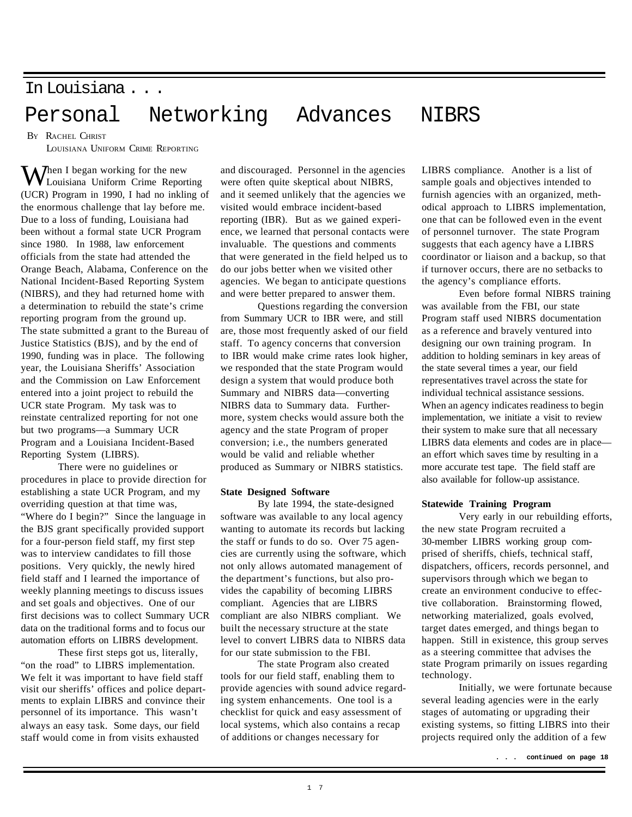### In Louisiana . . . Personal Networking Advances NIBRS

BY RACHEL CHRIST LOUISIANA UNIFORM CRIME REPORTING

 $\mathbf{W}$  hen I began working for the new Louisiana Uniform Crime Reporting (UCR) Program in 1990, I had no inkling of the enormous challenge that lay before me. Due to a loss of funding, Louisiana had been without a formal state UCR Program since 1980. In 1988, law enforcement officials from the state had attended the Orange Beach, Alabama, Conference on the National Incident-Based Reporting System (NIBRS), and they had returned home with a determination to rebuild the state's crime reporting program from the ground up. The state submitted a grant to the Bureau of Justice Statistics (BJS), and by the end of 1990, funding was in place. The following year, the Louisiana Sheriffs' Association and the Commission on Law Enforcement entered into a joint project to rebuild the UCR state Program. My task was to reinstate centralized reporting for not one but two programs—a Summary UCR Program and a Louisiana Incident-Based Reporting System (LIBRS).

There were no guidelines or procedures in place to provide direction for establishing a state UCR Program, and my overriding question at that time was, "Where do I begin?" Since the language in the BJS grant specifically provided support for a four-person field staff, my first step was to interview candidates to fill those positions. Very quickly, the newly hired field staff and I learned the importance of weekly planning meetings to discuss issues and set goals and objectives. One of our first decisions was to collect Summary UCR data on the traditional forms and to focus our automation efforts on LIBRS development.

These first steps got us, literally, "on the road" to LIBRS implementation. We felt it was important to have field staff visit our sheriffs' offices and police departments to explain LIBRS and convince their personnel of its importance. This wasn't always an easy task. Some days, our field staff would come in from visits exhausted

and discouraged. Personnel in the agencies were often quite skeptical about NIBRS, and it seemed unlikely that the agencies we visited would embrace incident-based reporting (IBR). But as we gained experience, we learned that personal contacts were invaluable. The questions and comments that were generated in the field helped us to do our jobs better when we visited other agencies. We began to anticipate questions and were better prepared to answer them.

Questions regarding the conversion from Summary UCR to IBR were, and still are, those most frequently asked of our field staff. To agency concerns that conversion to IBR would make crime rates look higher, we responded that the state Program would design a system that would produce both Summary and NIBRS data—converting NIBRS data to Summary data. Furthermore, system checks would assure both the agency and the state Program of proper conversion; i.e., the numbers generated would be valid and reliable whether produced as Summary or NIBRS statistics.

#### **State Designed Software**

By late 1994, the state-designed software was available to any local agency wanting to automate its records but lacking the staff or funds to do so. Over 75 agencies are currently using the software, which not only allows automated management of the department's functions, but also provides the capability of becoming LIBRS compliant. Agencies that are LIBRS compliant are also NIBRS compliant. We built the necessary structure at the state level to convert LIBRS data to NIBRS data for our state submission to the FBI.

The state Program also created tools for our field staff, enabling them to provide agencies with sound advice regarding system enhancements. One tool is a checklist for quick and easy assessment of local systems, which also contains a recap of additions or changes necessary for

LIBRS compliance. Another is a list of sample goals and objectives intended to furnish agencies with an organized, methodical approach to LIBRS implementation, one that can be followed even in the event of personnel turnover. The state Program suggests that each agency have a LIBRS coordinator or liaison and a backup, so that if turnover occurs, there are no setbacks to the agency's compliance efforts.

Even before formal NIBRS training was available from the FBI, our state Program staff used NIBRS documentation as a reference and bravely ventured into designing our own training program. In addition to holding seminars in key areas of the state several times a year, our field representatives travel across the state for individual technical assistance sessions. When an agency indicates readiness to begin implementation, we initiate a visit to review their system to make sure that all necessary LIBRS data elements and codes are in place an effort which saves time by resulting in a more accurate test tape. The field staff are also available for follow-up assistance.

#### **Statewide Training Program**

Very early in our rebuilding efforts, the new state Program recruited a 30-member LIBRS working group comprised of sheriffs, chiefs, technical staff, dispatchers, officers, records personnel, and supervisors through which we began to create an environment conducive to effective collaboration. Brainstorming flowed, networking materialized, goals evolved, target dates emerged, and things began to happen. Still in existence, this group serves as a steering committee that advises the state Program primarily on issues regarding technology.

Initially, we were fortunate because several leading agencies were in the early stages of automating or upgrading their existing systems, so fitting LIBRS into their projects required only the addition of a few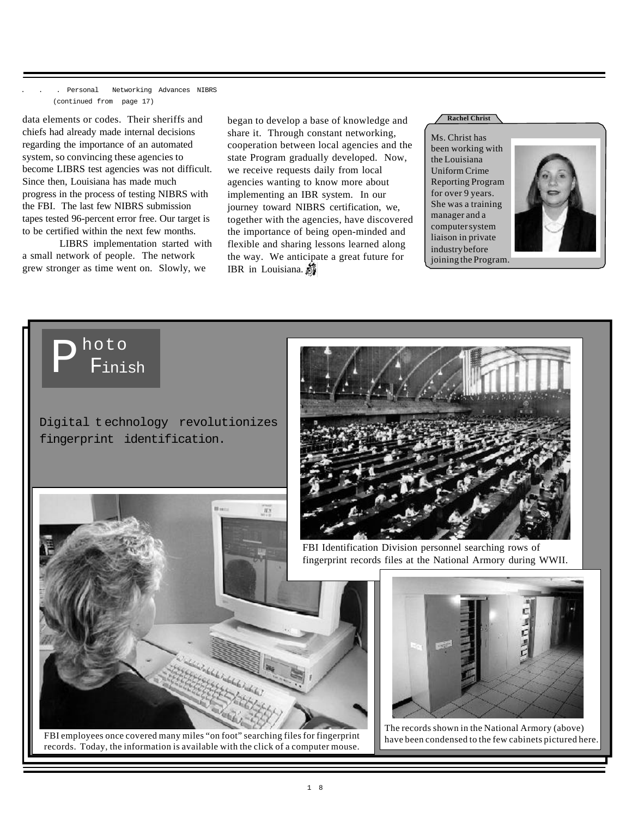. Personal Networking Advances NIBRS (continued from page 17)

data elements or codes. Their sheriffs and chiefs had already made internal decisions regarding the importance of an automated system, so convincing these agencies to become LIBRS test agencies was not difficult. Since then, Louisiana has made much progress in the process of testing NIBRS with the FBI. The last few NIBRS submission tapes tested 96-percent error free. Our target is to be certified within the next few months.

LIBRS implementation started with a small network of people. The network grew stronger as time went on. Slowly, we

hoto

Finish

P

Digital t echnology revolutionizes

fingerprint identification.

began to develop a base of knowledge and **All Christ** share it. Through constant networking, cooperation between local agencies and the state Program gradually developed. Now, we receive requests daily from local agencies wanting to know more about implementing an IBR system. In our journey toward NIBRS certification, we, together with the agencies, have discovered the importance of being open-minded and flexible and sharing lessons learned along the way. We anticipate a great future for IBR in Louisiana. 5

Ms. Christ has been working with the Louisiana Uniform Crime Reporting Program for over 9 years. She was a training manager and a computer system liaison in private industry before joining the Program.







FBI employees once covered many miles "on foot" searching files for fingerprint records. Today, the information is available with the click of a computer mouse.

FBI Identification Division personnel searching rows of fingerprint records files at the National Armory during WWII.



The records shown in the National Armory (above) have been condensed to the few cabinets pictured here.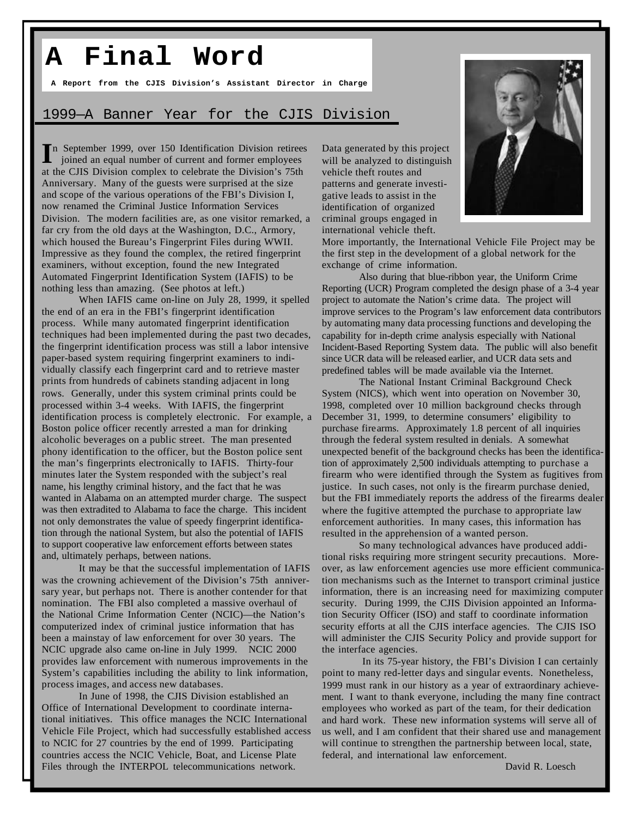### **A Final Word**

**A Report from the CJIS Division's Assistant Director in Charge**

#### 1999—A Banner Year for the CJIS Division

In September 1999, over 150 Identification Division retirees<br>
jointed an equal number of current and former employees joined an equal number of current and former employees at the CJIS Division complex to celebrate the Division's 75th Anniversary. Many of the guests were surprised at the size and scope of the various operations of the FBI's Division I, now renamed the Criminal Justice Information Services Division. The modern facilities are, as one visitor remarked, a far cry from the old days at the Washington, D.C., Armory, which housed the Bureau's Fingerprint Files during WWII. Impressive as they found the complex, the retired fingerprint examiners, without exception, found the new Integrated Automated Fingerprint Identification System (IAFIS) to be nothing less than amazing. (See photos at left.)

When IAFIS came on-line on July 28, 1999, it spelled the end of an era in the FBI's fingerprint identification process. While many automated fingerprint identification techniques had been implemented during the past two decades, the fingerprint identification process was still a labor intensive paper-based system requiring fingerprint examiners to individually classify each fingerprint card and to retrieve master prints from hundreds of cabinets standing adjacent in long rows. Generally, under this system criminal prints could be processed within 3-4 weeks. With IAFIS, the fingerprint identification process is completely electronic. For example, a Boston police officer recently arrested a man for drinking alcoholic beverages on a public street. The man presented phony identification to the officer, but the Boston police sent the man's fingerprints electronically to IAFIS. Thirty-four minutes later the System responded with the subject's real name, his lengthy criminal history, and the fact that he was wanted in Alabama on an attempted murder charge. The suspect was then extradited to Alabama to face the charge. This incident not only demonstrates the value of speedy fingerprint identification through the national System, but also the potential of IAFIS to support cooperative law enforcement efforts between states and, ultimately perhaps, between nations.

It may be that the successful implementation of IAFIS was the crowning achievement of the Division's 75th anniversary year, but perhaps not. There is another contender for that nomination. The FBI also completed a massive overhaul of the National Crime Information Center (NCIC)—the Nation's computerized index of criminal justice information that has been a mainstay of law enforcement for over 30 years. The NCIC upgrade also came on-line in July 1999. NCIC 2000 provides law enforcement with numerous improvements in the System's capabilities including the ability to link information, process images, and access new databases.

In June of 1998, the CJIS Division established an Office of International Development to coordinate international initiatives. This office manages the NCIC International Vehicle File Project, which had successfully established access to NCIC for 27 countries by the end of 1999. Participating countries access the NCIC Vehicle, Boat, and License Plate Files through the INTERPOL telecommunications network.

Data generated by this project will be analyzed to distinguish vehicle theft routes and patterns and generate investigative leads to assist in the identification of organized criminal groups engaged in international vehicle theft.



More importantly, the International Vehicle File Project may be the first step in the development of a global network for the exchange of crime information.

Also during that blue-ribbon year, the Uniform Crime Reporting (UCR) Program completed the design phase of a 3-4 year project to automate the Nation's crime data. The project will improve services to the Program's law enforcement data contributors by automating many data processing functions and developing the capability for in-depth crime analysis especially with National Incident-Based Reporting System data. The public will also benefit since UCR data will be released earlier, and UCR data sets and predefined tables will be made available via the Internet.

The National Instant Criminal Background Check System (NICS), which went into operation on November 30, 1998, completed over 10 million background checks through December 31, 1999, to determine consumers' eligibility to purchase firearms. Approximately 1.8 percent of all inquiries through the federal system resulted in denials. A somewhat unexpected benefit of the background checks has been the identification of approximately 2,500 individuals attempting to purchase a firearm who were identified through the System as fugitives from justice. In such cases, not only is the firearm purchase denied, but the FBI immediately reports the address of the firearms dealer where the fugitive attempted the purchase to appropriate law enforcement authorities. In many cases, this information has resulted in the apprehension of a wanted person.

So many technological advances have produced additional risks requiring more stringent security precautions. Moreover, as law enforcement agencies use more efficient communication mechanisms such as the Internet to transport criminal justice information, there is an increasing need for maximizing computer security. During 1999, the CJIS Division appointed an Information Security Officer (ISO) and staff to coordinate information security efforts at all the CJIS interface agencies. The CJIS ISO will administer the CJIS Security Policy and provide support for the interface agencies.

 In its 75-year history, the FBI's Division I can certainly point to many red-letter days and singular events. Nonetheless, 1999 must rank in our history as a year of extraordinary achievement. I want to thank everyone, including the many fine contract employees who worked as part of the team, for their dedication and hard work. These new information systems will serve all of us well, and I am confident that their shared use and management will continue to strengthen the partnership between local, state, federal, and international law enforcement.